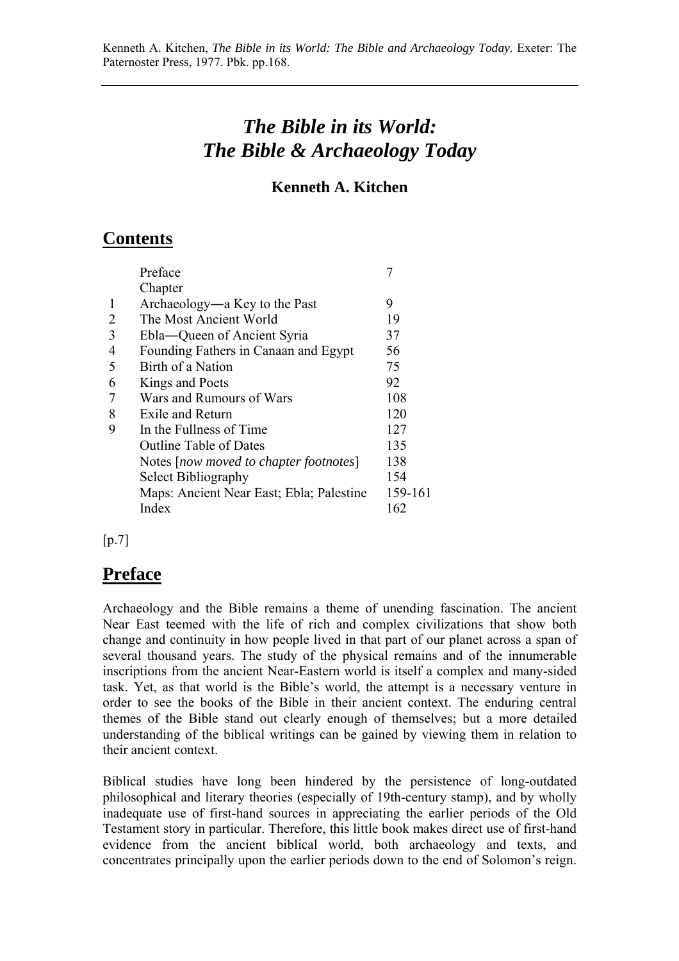## *The Bible in its World: The Bible & Archaeology Today*

## **Kenneth A. Kitchen**

## **Contents**

| Preface                                  |         |
|------------------------------------------|---------|
| Chapter                                  |         |
| Archaeology—a Key to the Past            | 9       |
| The Most Ancient World                   | 19      |
| Ebla-Queen of Ancient Syria              | 37      |
| Founding Fathers in Canaan and Egypt     | 56      |
| Birth of a Nation                        | 75      |
| Kings and Poets                          | 92      |
| Wars and Rumours of Wars                 | 108     |
| Exile and Return                         | 120     |
| In the Fullness of Time                  | 127     |
| <b>Outline Table of Dates</b>            | 135     |
| Notes [now moved to chapter footnotes]   | 138     |
| Select Bibliography                      | 154     |
| Maps: Ancient Near East; Ebla; Palestine | 159-161 |
| Index                                    | 162     |
|                                          |         |

 $[p.7]$ 

## **Preface**

Archaeology and the Bible remains a theme of unending fascination. The ancient Near East teemed with the life of rich and complex civilizations that show both change and continuity in how people lived in that part of our planet across a span of several thousand years. The study of the physical remains and of the innumerable inscriptions from the ancient Near-Eastern world is itself a complex and many-sided task. Yet, as that world is the Bible's world, the attempt is a necessary venture in order to see the books of the Bible in their ancient context. The enduring central themes of the Bible stand out clearly enough of themselves; but a more detailed understanding of the biblical writings can be gained by viewing them in relation to their ancient context.

Biblical studies have long been hindered by the persistence of long-outdated philosophical and literary theories (especially of 19th-century stamp), and by wholly inadequate use of first-hand sources in appreciating the earlier periods of the Old Testament story in particular. Therefore, this little book makes direct use of first-hand evidence from the ancient biblical world, both archaeology and texts, and concentrates principally upon the earlier periods down to the end of Solomon's reign.